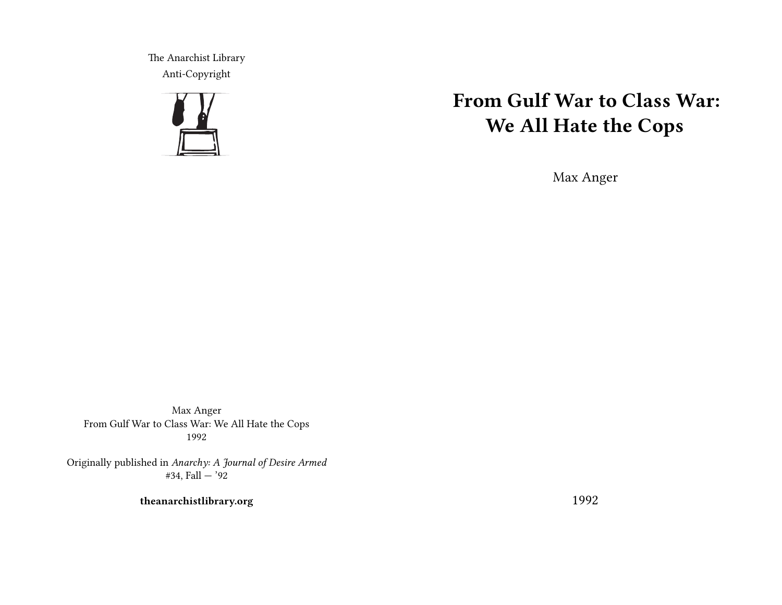The Anarchist Library Anti-Copyright



# **From Gulf War to Class War: We All Hate the Cops**

Max Anger

Max Anger From Gulf War to Class War: We All Hate the Cops 1992

Originally published in *Anarchy: A Journal of Desire Armed* #34, Fall  $-$  '92

**theanarchistlibrary.org**

1992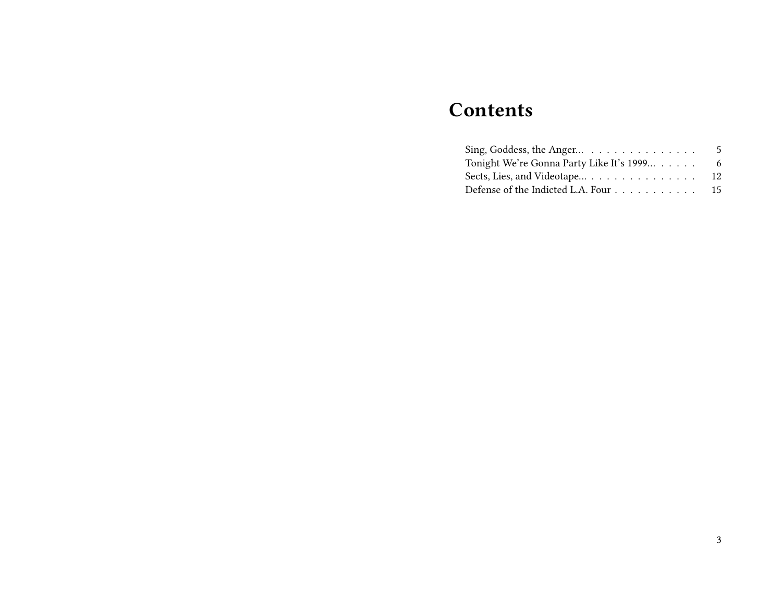# **Contents**

| Sing, Goddess, the Anger $\ldots \ldots \ldots \ldots$ | 5  |
|--------------------------------------------------------|----|
| Tonight We're Gonna Party Like It's 1999               | -6 |
| Sects, Lies, and Videotape 12                          |    |
| Defense of the Indicted L.A. Four 15                   |    |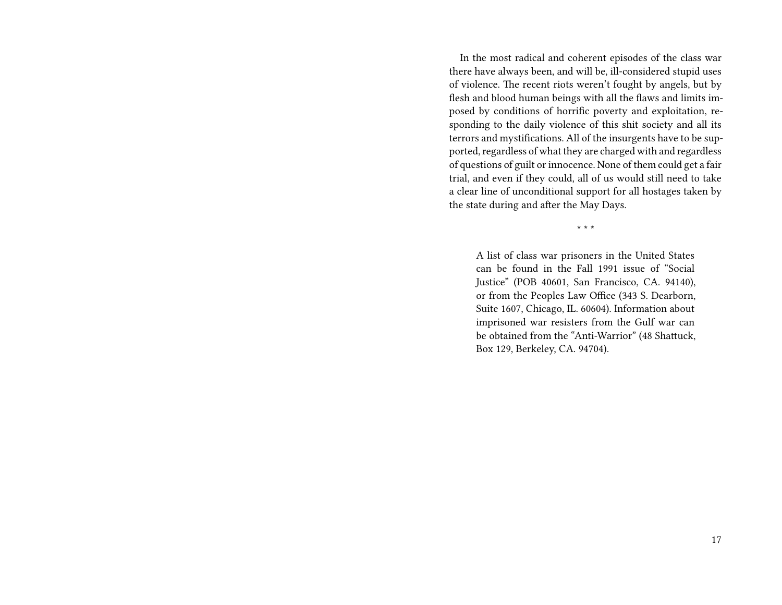In the most radical and coherent episodes of the class war there have always been, and will be, ill-considered stupid uses of violence. The recent riots weren't fought by angels, but by flesh and blood human beings with all the flaws and limits imposed by conditions of horrific poverty and exploitation, responding to the daily violence of this shit society and all its terrors and mystifications. All of the insurgents have to be supported, regardless of what they are charged with and regardless of questions of guilt or innocence. None of them could get a fair trial, and even if they could, all of us would still need to take a clear line of unconditional support for all hostages taken by the state during and after the May Days.

\* \* \*

A list of class war prisoners in the United States can be found in the Fall 1991 issue of "Social Justice" (POB 40601, San Francisco, CA. 94140), or from the Peoples Law Office (343 S. Dearborn, Suite 1607, Chicago, IL. 60604). Information about imprisoned war resisters from the Gulf war can be obtained from the "Anti-Warrior" (48 Shattuck, Box 129, Berkeley, CA. 94704).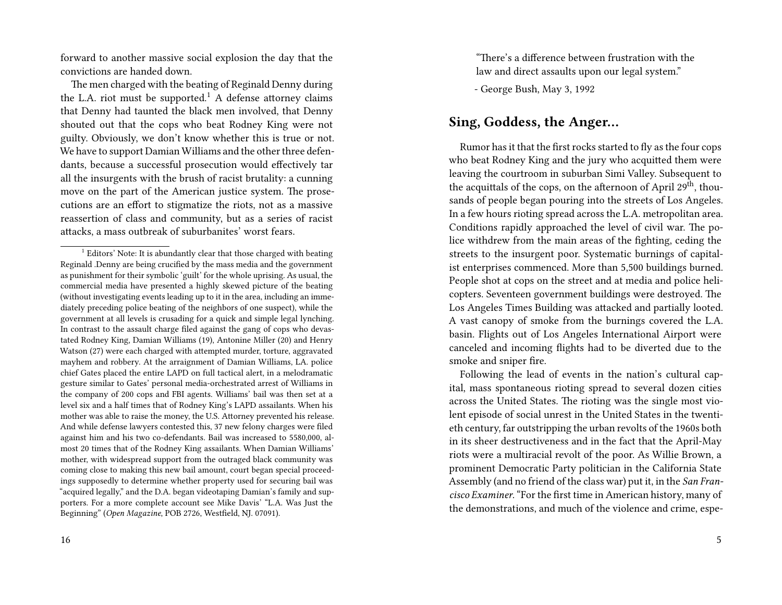forward to another massive social explosion the day that the convictions are handed down.

The men charged with the beating of Reginald Denny during the L.A. riot must be supported.<sup>1</sup> A defense attorney claims that Denny had taunted the black men involved, that Denny shouted out that the cops who beat Rodney King were not guilty. Obviously, we don't know whether this is true or not. We have to support Damian Williams and the other three defendants, because a successful prosecution would effectively tar all the insurgents with the brush of racist brutality: a cunning move on the part of the American justice system. The prosecutions are an effort to stigmatize the riots, not as a massive reassertion of class and community, but as a series of racist attacks, a mass outbreak of suburbanites' worst fears.

"There's a difference between frustration with the law and direct assaults upon our legal system."

- George Bush, May 3, 1992

### **Sing, Goddess, the Anger…**

Rumor has it that the first rocks started to fly as the four cops who beat Rodney King and the jury who acquitted them were leaving the courtroom in suburban Simi Valley. Subsequent to the acquittals of the cops, on the afternoon of April 29<sup>th</sup>, thousands of people began pouring into the streets of Los Angeles. In a few hours rioting spread across the L.A. metropolitan area. Conditions rapidly approached the level of civil war. The police withdrew from the main areas of the fighting, ceding the streets to the insurgent poor. Systematic burnings of capitalist enterprises commenced. More than 5,500 buildings burned. People shot at cops on the street and at media and police helicopters. Seventeen government buildings were destroyed. The Los Angeles Times Building was attacked and partially looted. A vast canopy of smoke from the burnings covered the L.A. basin. Flights out of Los Angeles International Airport were canceled and incoming flights had to be diverted due to the smoke and sniper fire.

Following the lead of events in the nation's cultural capital, mass spontaneous rioting spread to several dozen cities across the United States. The rioting was the single most violent episode of social unrest in the United States in the twentieth century, far outstripping the urban revolts of the 1960s both in its sheer destructiveness and in the fact that the April-May riots were a multiracial revolt of the poor. As Willie Brown, a prominent Democratic Party politician in the California State Assembly (and no friend of the class war) put it, in the *San Francisco Examiner*. "For the first time in American history, many of the demonstrations, and much of the violence and crime, espe-

<sup>&</sup>lt;sup>1</sup> Editors' Note: It is abundantly clear that those charged with beating Reginald .Denny are being crucified by the mass media and the government as punishment for their symbolic 'guilt' for the whole uprising. As usual, the commercial media have presented a highly skewed picture of the beating (without investigating events leading up to it in the area, including an immediately preceding police beating of the neighbors of one suspect), while the government at all levels is crusading for a quick and simple legal lynching. In contrast to the assault charge filed against the gang of cops who devastated Rodney King, Damian Williams (19), Antonine Miller (20) and Henry Watson (27) were each charged with attempted murder, torture, aggravated mayhem and robbery. At the arraignment of Damian Williams, LA. police chief Gates placed the entire LAPD on full tactical alert, in a melodramatic gesture similar to Gates' personal media-orchestrated arrest of Williams in the company of 200 cops and FBI agents. Williams' bail was then set at a level six and a half times that of Rodney King's LAPD assailants. When his mother was able to raise the money, the U.S. Attorney prevented his release. And while defense lawyers contested this, 37 new felony charges were filed against him and his two co-defendants. Bail was increased to 5580,000, almost 20 times that of the Rodney King assailants. When Damian Williams' mother, with widespread support from the outraged black community was coming close to making this new bail amount, court began special proceedings supposedly to determine whether property used for securing bail was "acquired legally," and the D.A. began videotaping Damian's family and supporters. For a more complete account see Mike Davis' "L.A. Was Just the Beginning" (*Open Magazine*, POB 2726, Westfield, NJ. 07091).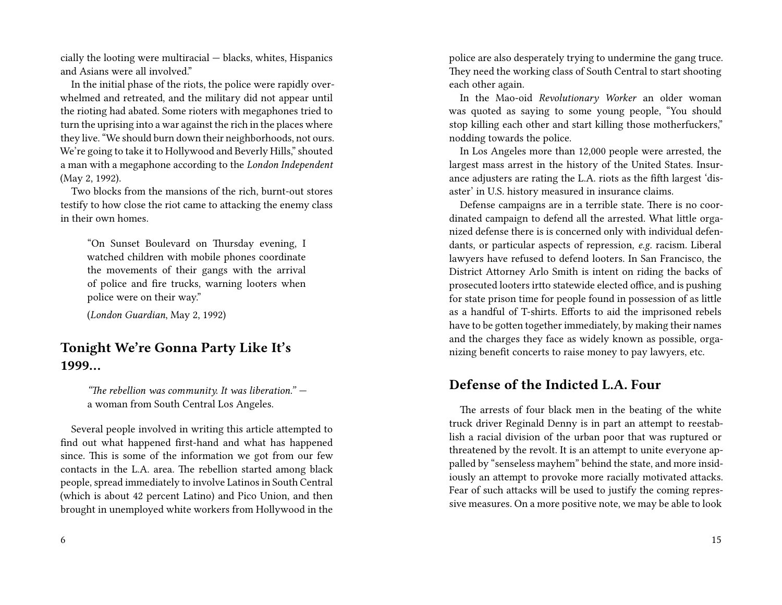cially the looting were multiracial — blacks, whites, Hispanics and Asians were all involved."

In the initial phase of the riots, the police were rapidly overwhelmed and retreated, and the military did not appear until the rioting had abated. Some rioters with megaphones tried to turn the uprising into a war against the rich in the places where they live. "We should burn down their neighborhoods, not ours. We're going to take it to Hollywood and Beverly Hills," shouted a man with a megaphone according to the *London Independent* (May 2, 1992).

Two blocks from the mansions of the rich, burnt-out stores testify to how close the riot came to attacking the enemy class in their own homes.

"On Sunset Boulevard on Thursday evening, I watched children with mobile phones coordinate the movements of their gangs with the arrival of police and fire trucks, warning looters when police were on their way."

(*London Guardian*, May 2, 1992)

## **Tonight We're Gonna Party Like It's 1999…**

*"The rebellion was community. It was liberation."* a woman from South Central Los Angeles.

Several people involved in writing this article attempted to find out what happened first-hand and what has happened since. This is some of the information we got from our few contacts in the L.A. area. The rebellion started among black people, spread immediately to involve Latinos in South Central (which is about 42 percent Latino) and Pico Union, and then brought in unemployed white workers from Hollywood in the police are also desperately trying to undermine the gang truce. They need the working class of South Central to start shooting each other again.

In the Mao-oid *Revolutionary Worker* an older woman was quoted as saying to some young people, "You should stop killing each other and start killing those motherfuckers," nodding towards the police.

In Los Angeles more than 12,000 people were arrested, the largest mass arrest in the history of the United States. Insurance adjusters are rating the L.A. riots as the fifth largest 'disaster' in U.S. history measured in insurance claims.

Defense campaigns are in a terrible state. There is no coordinated campaign to defend all the arrested. What little organized defense there is is concerned only with individual defendants, or particular aspects of repression, *e.g.* racism. Liberal lawyers have refused to defend looters. In San Francisco, the District Attorney Arlo Smith is intent on riding the backs of prosecuted looters irtto statewide elected office, and is pushing for state prison time for people found in possession of as little as a handful of T-shirts. Efforts to aid the imprisoned rebels have to be gotten together immediately, by making their names and the charges they face as widely known as possible, organizing benefit concerts to raise money to pay lawyers, etc.

### **Defense of the Indicted L.A. Four**

The arrests of four black men in the beating of the white truck driver Reginald Denny is in part an attempt to reestablish a racial division of the urban poor that was ruptured or threatened by the revolt. It is an attempt to unite everyone appalled by "senseless mayhem" behind the state, and more insidiously an attempt to provoke more racially motivated attacks. Fear of such attacks will be used to justify the coming repressive measures. On a more positive note, we may be able to look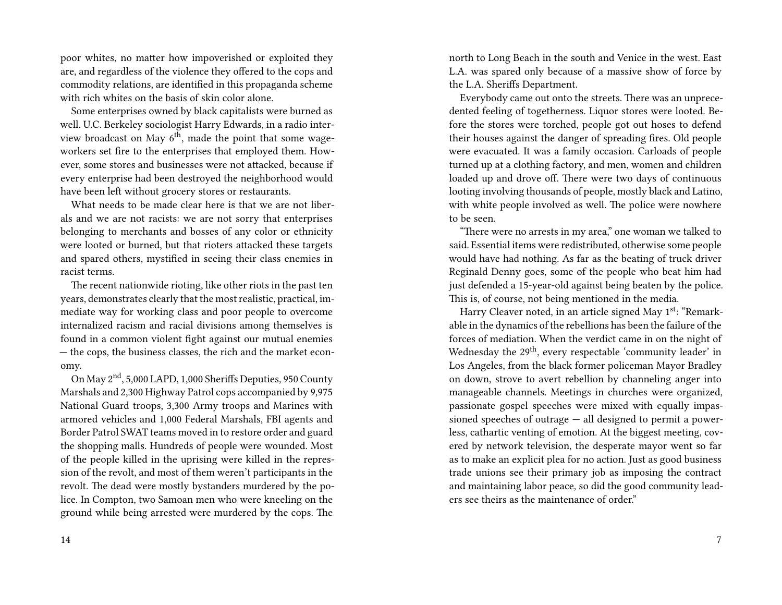poor whites, no matter how impoverished or exploited they are, and regardless of the violence they offered to the cops and commodity relations, are identified in this propaganda scheme with rich whites on the basis of skin color alone.

Some enterprises owned by black capitalists were burned as well. U.C. Berkeley sociologist Harry Edwards, in a radio interview broadcast on May  $6<sup>th</sup>$ , made the point that some wageworkers set fire to the enterprises that employed them. However, some stores and businesses were not attacked, because if every enterprise had been destroyed the neighborhood would have been left without grocery stores or restaurants.

What needs to be made clear here is that we are not liberals and we are not racists: we are not sorry that enterprises belonging to merchants and bosses of any color or ethnicity were looted or burned, but that rioters attacked these targets and spared others, mystified in seeing their class enemies in racist terms.

The recent nationwide rioting, like other riots in the past ten years, demonstrates clearly that the most realistic, practical, immediate way for working class and poor people to overcome internalized racism and racial divisions among themselves is found in a common violent fight against our mutual enemies — the cops, the business classes, the rich and the market economy.

On May 2nd, 5,000 LAPD, 1,000 Sheriffs Deputies, 950 County Marshals and 2,300 Highway Patrol cops accompanied by 9,975 National Guard troops, 3,300 Army troops and Marines with armored vehicles and 1,000 Federal Marshals, FBI agents and Border Patrol SWAT teams moved in to restore order and guard the shopping malls. Hundreds of people were wounded. Most of the people killed in the uprising were killed in the repression of the revolt, and most of them weren't participants in the revolt. The dead were mostly bystanders murdered by the police. In Compton, two Samoan men who were kneeling on the ground while being arrested were murdered by the cops. The

north to Long Beach in the south and Venice in the west. East L.A. was spared only because of a massive show of force by the L.A. Sheriffs Department.

Everybody came out onto the streets. There was an unprecedented feeling of togetherness. Liquor stores were looted. Before the stores were torched, people got out hoses to defend their houses against the danger of spreading fires. Old people were evacuated. It was a family occasion. Carloads of people turned up at a clothing factory, and men, women and children loaded up and drove off. There were two days of continuous looting involving thousands of people, mostly black and Latino, with white people involved as well. The police were nowhere to be seen.

"There were no arrests in my area," one woman we talked to said. Essential items were redistributed, otherwise some people would have had nothing. As far as the beating of truck driver Reginald Denny goes, some of the people who beat him had just defended a 15-year-old against being beaten by the police. This is, of course, not being mentioned in the media.

Harry Cleaver noted, in an article signed May 1<sup>st</sup>: "Remarkable in the dynamics of the rebellions has been the failure of the forces of mediation. When the verdict came in on the night of Wednesday the 29<sup>th</sup>, every respectable 'community leader' in Los Angeles, from the black former policeman Mayor Bradley on down, strove to avert rebellion by channeling anger into manageable channels. Meetings in churches were organized, passionate gospel speeches were mixed with equally impassioned speeches of outrage — all designed to permit a powerless, cathartic venting of emotion. At the biggest meeting, covered by network television, the desperate mayor went so far as to make an explicit plea for no action. Just as good business trade unions see their primary job as imposing the contract and maintaining labor peace, so did the good community leaders see theirs as the maintenance of order."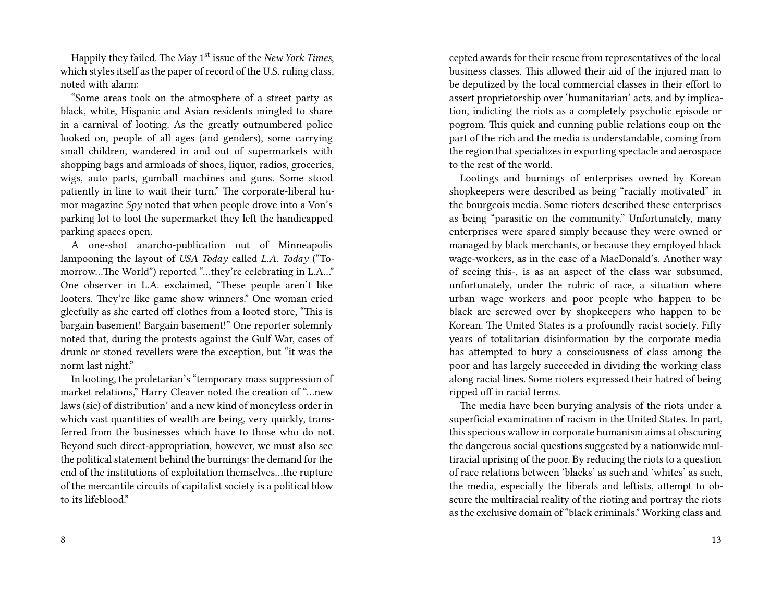Happily they failed. The May 1st issue of the *New York Times*, which styles itself as the paper of record of the U.S. ruling class, noted with alarm:

"Some areas took on the atmosphere of a street party as black, white, Hispanic and Asian residents mingled to share in a carnival of looting. As the greatly outnumbered police looked on, people of all ages (and genders), some carrying small children, wandered in and out of supermarkets with shopping bags and armloads of shoes, liquor, radios, groceries, wigs, auto parts, gumball machines and guns. Some stood patiently in line to wait their turn." The corporate-liberal humor magazine *Spy* noted that when people drove into a Von's parking lot to loot the supermarket they left the handicapped parking spaces open.

A one-shot anarcho-publication out of Minneapolis lampooning the layout of *USA Today* called *L.A. Today* ("Tomorrow…The World") reported "…they're celebrating in L.A…" One observer in L.A. exclaimed, "These people aren't like looters. They're like game show winners." One woman cried gleefully as she carted off clothes from a looted store, "This is bargain basement! Bargain basement!" One reporter solemnly noted that, during the protests against the Gulf War, cases of drunk or stoned revellers were the exception, but "it was the norm last night."

In looting, the proletarian's "temporary mass suppression of market relations," Harry Cleaver noted the creation of "…new laws (sic) of distribution' and a new kind of moneyless order in which vast quantities of wealth are being, very quickly, transferred from the businesses which have to those who do not. Beyond such direct-appropriation, however, we must also see the political statement behind the burnings: the demand for the end of the institutions of exploitation themselves…the rupture of the mercantile circuits of capitalist society is a political blow to its lifeblood."

8

cepted awards for their rescue from representatives of the local business classes. This allowed their aid of the injured man to be deputized by the local commercial classes in their effort to assert proprietorship over 'humanitarian' acts, and by implication, indicting the riots as a completely psychotic episode or pogrom. This quick and cunning public relations coup on the part of the rich and the media is understandable, coming from the region that specializes in exporting spectacle and aerospace to the rest of the world.

Lootings and burnings of enterprises owned by Korean shopkeepers were described as being "racially motivated" in the bourgeois media. Some rioters described these enterprises as being "parasitic on the community." Unfortunately, many enterprises were spared simply because they were owned or managed by black merchants, or because they employed black wage-workers, as in the case of a MacDonald's. Another way of seeing this-, is as an aspect of the class war subsumed, unfortunately, under the rubric of race, a situation where urban wage workers and poor people who happen to be black are screwed over by shopkeepers who happen to be Korean. The United States is a profoundly racist society. Fifty years of totalitarian disinformation by the corporate media has attempted to bury a consciousness of class among the poor and has largely succeeded in dividing the working class along racial lines. Some rioters expressed their hatred of being ripped off in racial terms.

The media have been burying analysis of the riots under a superficial examination of racism in the United States. In part, this specious wallow in corporate humanism aims at obscuring the dangerous social questions suggested by a nationwide multiracial uprising of the poor. By reducing the riots to a question of race relations between 'blacks' as such and 'whites' as such, the media, especially the liberals and leftists, attempt to obscure the multiracial reality of the rioting and portray the riots as the exclusive domain of "black criminals." Working class and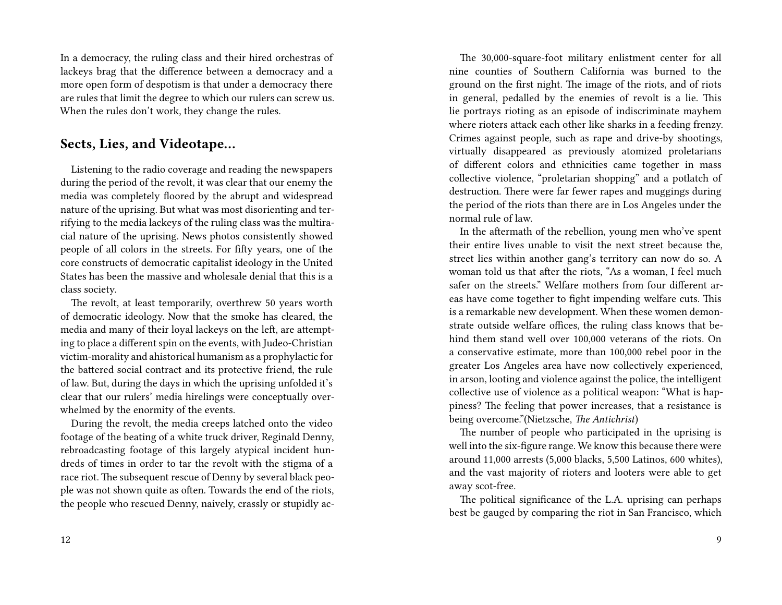In a democracy, the ruling class and their hired orchestras of lackeys brag that the difference between a democracy and a more open form of despotism is that under a democracy there are rules that limit the degree to which our rulers can screw us. When the rules don't work, they change the rules.

### **Sects, Lies, and Videotape…**

Listening to the radio coverage and reading the newspapers during the period of the revolt, it was clear that our enemy the media was completely floored by the abrupt and widespread nature of the uprising. But what was most disorienting and terrifying to the media lackeys of the ruling class was the multiracial nature of the uprising. News photos consistently showed people of all colors in the streets. For fifty years, one of the core constructs of democratic capitalist ideology in the United States has been the massive and wholesale denial that this is a class society.

The revolt, at least temporarily, overthrew 50 years worth of democratic ideology. Now that the smoke has cleared, the media and many of their loyal lackeys on the left, are attempting to place a different spin on the events, with Judeo-Christian victim-morality and ahistorical humanism as a prophylactic for the battered social contract and its protective friend, the rule of law. But, during the days in which the uprising unfolded it's clear that our rulers' media hirelings were conceptually overwhelmed by the enormity of the events.

During the revolt, the media creeps latched onto the video footage of the beating of a white truck driver, Reginald Denny, rebroadcasting footage of this largely atypical incident hundreds of times in order to tar the revolt with the stigma of a race riot. The subsequent rescue of Denny by several black people was not shown quite as often. Towards the end of the riots, the people who rescued Denny, naively, crassly or stupidly ac-

The 30,000-square-foot military enlistment center for all nine counties of Southern California was burned to the ground on the first night. The image of the riots, and of riots in general, pedalled by the enemies of revolt is a lie. This lie portrays rioting as an episode of indiscriminate mayhem where rioters attack each other like sharks in a feeding frenzy. Crimes against people, such as rape and drive-by shootings, virtually disappeared as previously atomized proletarians of different colors and ethnicities came together in mass collective violence, "proletarian shopping" and a potlatch of destruction. There were far fewer rapes and muggings during the period of the riots than there are in Los Angeles under the normal rule of law.

In the aftermath of the rebellion, young men who've spent their entire lives unable to visit the next street because the, street lies within another gang's territory can now do so. A woman told us that after the riots, "As a woman, I feel much safer on the streets." Welfare mothers from four different areas have come together to fight impending welfare cuts. This is a remarkable new development. When these women demonstrate outside welfare offices, the ruling class knows that behind them stand well over 100,000 veterans of the riots. On a conservative estimate, more than 100,000 rebel poor in the greater Los Angeles area have now collectively experienced, in arson, looting and violence against the police, the intelligent collective use of violence as a political weapon: "What is happiness? The feeling that power increases, that a resistance is being overcome."(Nietzsche, *The Antichrist*)

The number of people who participated in the uprising is well into the six-figure range. We know this because there were around 11,000 arrests (5,000 blacks, 5,500 Latinos, 600 whites), and the vast majority of rioters and looters were able to get away scot-free.

The political significance of the L.A. uprising can perhaps best be gauged by comparing the riot in San Francisco, which